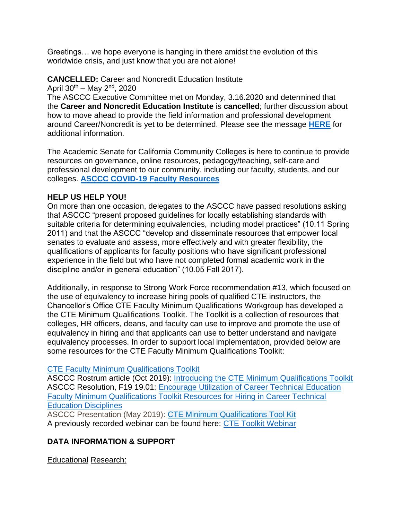Greetings… we hope everyone is hanging in there amidst the evolution of this worldwide crisis, and just know that you are not alone!

**CANCELLED:** Career and Noncredit Education Institute

April  $30^{th}$  – May  $2^{nd}$ , 2020

The ASCCC Executive Committee met on Monday, 3.16.2020 and determined that the **Career and Noncredit Education Institute** is **cancelled**; further discussion about how to move ahead to provide the field information and professional development around Career/Noncredit is yet to be determined. Please see the message **[HERE](https://www.asccc.org/events/2020-04-30-160000-2020-05-02-190000/cancelled-2020-career-and-noncredit-education-institute)** for additional information.

The Academic Senate for California Community Colleges is here to continue to provide resources on governance, online resources, pedagogy/teaching, self-care and professional development to our community, including our faculty, students, and our colleges. **[ASCCC COVID-19 Faculty Resources](https://asccc.org/covid-19-faculty-resources)**

## **HELP US HELP YOU!**

On more than one occasion, delegates to the ASCCC have passed resolutions asking that ASCCC "present proposed guidelines for locally establishing standards with suitable criteria for determining equivalencies, including model practices" (10.11 Spring 2011) and that the ASCCC "develop and disseminate resources that empower local senates to evaluate and assess, more effectively and with greater flexibility, the qualifications of applicants for faculty positions who have significant professional experience in the field but who have not completed formal academic work in the discipline and/or in general education" (10.05 Fall 2017).

Additionally, in response to Strong Work Force recommendation #13, which focused on the use of equivalency to increase hiring pools of qualified CTE instructors, the Chancellor's Office CTE Faculty Minimum Qualifications Workgroup has developed a the CTE Minimum Qualifications Toolkit. The Toolkit is a collection of resources that colleges, HR officers, deans, and faculty can use to improve and promote the use of equivalency in hiring and that applicants can use to better understand and navigate equivalency processes. In order to support local implementation, provided below are some resources for the CTE Faculty Minimum Qualifications Toolkit:

### [CTE Faculty Minimum Qualifications Toolkit](https://www.asccc.org/content/cte-mq-toolkit)

ASCCC Rostrum article (Oct 2019): [Introducing the CTE Minimum Qualifications Toolkit](https://www.asccc.org/content/introducing-cte-minimum-qualifications-toolkit) ASCCC Resolution, F19 19.01: [Encourage Utilization of Career Technical Education](https://www.asccc.org/resolutions/encourage-utilization-career-technical-education-faculty-minimum-qualifications-toolkit)  [Faculty Minimum Qualifications Toolkit Resources for Hiring in Career Technical](https://www.asccc.org/resolutions/encourage-utilization-career-technical-education-faculty-minimum-qualifications-toolkit)  [Education Disciplines](https://www.asccc.org/resolutions/encourage-utilization-career-technical-education-faculty-minimum-qualifications-toolkit)

ASCCC Presentation (May 2019): [CTE Minimum Qualifications Tool Kit](https://www.asccc.org/sites/default/files/MQs_equivalencies_Regionals_spring%202019lsrevise.pptx) A previously recorded webinar can be found here: [CTE Toolkit Webinar](https://drive.google.com/file/d/1QilyLqKRFSaQR8vxeKpxHEAbdXXal7Ja/view?ths=true)

# **DATA INFORMATION & SUPPORT**

Educational Research: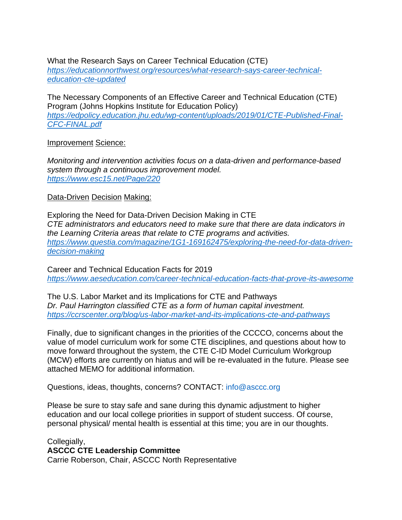What the Research Says on Career Technical Education (CTE) *[https://educationnorthwest.org/resources/what-research-says-career-technical](https://educationnorthwest.org/resources/what-research-says-career-technical-education-cte-updated)[education-cte-updated](https://educationnorthwest.org/resources/what-research-says-career-technical-education-cte-updated)*

[The Necessary Components of an Effective Career](https://edpolicy.education.jhu.edu/wp-content/uploads/2019/01/CTE-Published-Final-CFC-FINAL.pdf) and Technical Education (CTE) [Program \(Johns Hopkins Institute for Education Policy\)](https://edpolicy.education.jhu.edu/wp-content/uploads/2019/01/CTE-Published-Final-CFC-FINAL.pdf) *[https://edpolicy.education.jhu.edu/wp-content/uploads/2019/01/CTE-Published-Final-](https://edpolicy.education.jhu.edu/wp-content/uploads/2019/01/CTE-Published-Final-CFC-FINAL.pdf)[CFC-FINAL.pdf](https://edpolicy.education.jhu.edu/wp-content/uploads/2019/01/CTE-Published-Final-CFC-FINAL.pdf)*

### Improvement Science:

*Monitoring and intervention activities focus on a data-driven and performance-based system through a continuous improvement model. <https://www.esc15.net/Page/220>*

### Data-Driven Decision Making:

Exploring the Need for Data-Driven Decision Making in CTE *CTE administrators and educators need to make sure that there are data indicators in the Learning Criteria areas that relate to CTE programs and activities. [https://www.questia.com/magazine/1G1-169162475/exploring-the-need-for-data-driven](https://www.questia.com/magazine/1G1-169162475/exploring-the-need-for-data-driven-decision-making)[decision-making](https://www.questia.com/magazine/1G1-169162475/exploring-the-need-for-data-driven-decision-making)*

Career and Technical Education Facts for 2019 *<https://www.aeseducation.com/career-technical-education-facts-that-prove-its-awesome>*

The U.S. Labor Market and its Implications for CTE and Pathways *Dr. Paul Harrington classified CTE as a form of human capital investment. <https://ccrscenter.org/blog/us-labor-market-and-its-implications-cte-and-pathways>*

Finally, due to significant changes in the priorities of the CCCCO, concerns about the value of model curriculum work for some CTE disciplines, and questions about how to move forward throughout the system, the CTE C-ID Model Curriculum Workgroup (MCW) efforts are currently on hiatus and will be re-evaluated in the future. Please see attached MEMO for additional information.

Questions, ideas, thoughts, concerns? CONTACT: [info@asccc.org](mailto:info@asccc.org)

Please be sure to stay safe and sane during this dynamic adjustment to higher education and our local college priorities in support of student success. Of course, personal physical/ mental health is essential at this time; you are in our thoughts.

Collegially, **ASCCC CTE Leadership Committee** Carrie Roberson, Chair, ASCCC North Representative